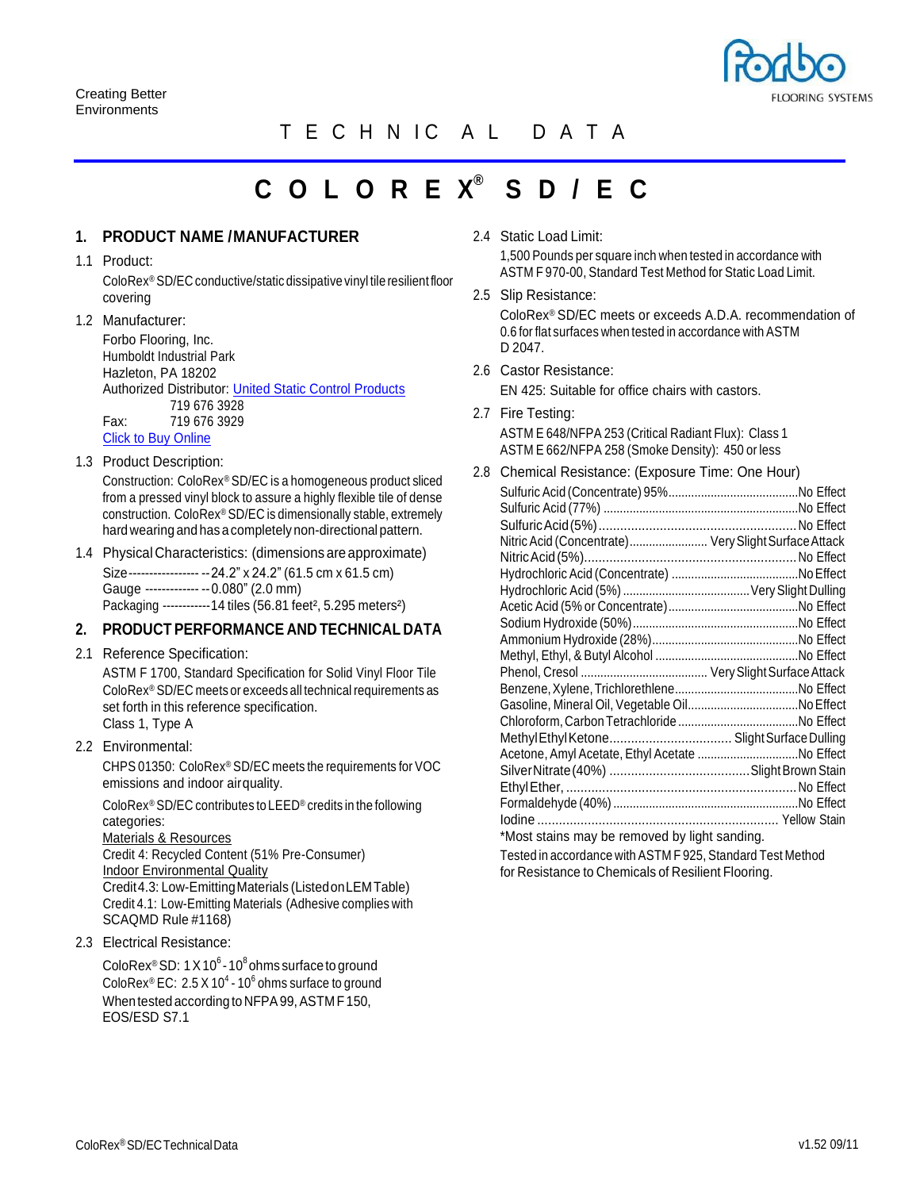

# T E C H N IC A L D A T A

# **C O L O R E X ® S D / E C**

# **1. PRODUCT NAME /MANUFACTURER**

1.1 Product:

ColoRex® SD/EC conductive/static dissipative vinyl tile resilient floor covering

1.2 Manufacturer:

Forbo Flooring, Inc. Humboldt Industrial Park Hazleton, PA 18202 Authorized Distributor: [United Static Control](http://ultrastatinc.com/index.html) Products 719 676 3928 Fax: 719 676 3929 [Click to Buy Online](https://store.unitedesd.com/SearchResults.asp?Search=Forbo)

1.3 Product Description:

Construction: ColoRex® SD/EC is a homogeneous product sliced from a pressed vinyl block to assure a highly flexible tile of dense construction. ColoRex® SD/EC is dimensionally stable, extremely hard wearing and has a completely non-directional pattern.

1.4 Physical Characteristics: (dimensions are approximate)

Size----------------- --24.2" x 24.2" (61.5 cm x 61.5 cm) Gauge ------------- --0.080" (2.0 mm) Packaging ------------14 tiles (56.81 feet², 5.295 meters²)

## **2. PRODUCT PERFORMANCE AND TECHNICAL DATA**

2.1 Reference Specification:

ASTM F 1700, Standard Specification for Solid Vinyl Floor Tile ColoRex® SD/EC meets or exceeds all technical requirements as set forth in this reference specification. Class 1, Type A

2.2 Environmental:

CHPS 01350: ColoRex® SD/EC meets the requirements for VOC emissions and indoor airquality.

ColoRex® SD/EC contributes to LEED® credits in the following categories:

Materials & Resources

Credit 4: Recycled Content (51% Pre-Consumer) Indoor Environmental Quality Credit4.3: Low-EmittingMaterials (ListedonLEMTable) Credit 4.1: Low-Emitting Materials (Adhesive complies with SCAQMD Rule #1168)

2.3 Electrical Resistance:

Colo $\mathsf{Rex}^{\circ}$ SD: 1 X 10 $^{\circ}$ -10 $^{\circ}$ ohms surface to ground ColoRex® EC: 2.5 X 10<sup>4</sup> - 10<sup>6</sup> ohms surface to ground When tested according to NFPA 99, ASTM F150, EOS/ESD S7.1

2.4 Static Load Limit:

1,500 Pounds per square inch when tested in accordance with ASTM F 970-00, Standard Test Method for Static Load Limit.

2.5 Slip Resistance:

ColoRex® SD/EC meets or exceeds A.D.A. recommendation of 0.6 for flat surfaces when tested in accordance with ASTM D 2047.

- 2.6 Castor Resistance: EN 425: Suitable for office chairs with castors.
- 2.7 Fire Testing: ASTM E 648/NFPA 253 (Critical Radiant Flux): Class 1 ASTM E 662/NFPA 258 (Smoke Density): 450 or less

| 2.8<br>Chemical Resistance: (Exposure Time: One Hour) |                                                      |  |
|-------------------------------------------------------|------------------------------------------------------|--|
|                                                       |                                                      |  |
|                                                       |                                                      |  |
|                                                       |                                                      |  |
|                                                       | Nitric Acid (Concentrate) Very Slight Surface Attack |  |
|                                                       |                                                      |  |
|                                                       |                                                      |  |
|                                                       |                                                      |  |
|                                                       |                                                      |  |
|                                                       |                                                      |  |
|                                                       |                                                      |  |
|                                                       |                                                      |  |
|                                                       |                                                      |  |
|                                                       |                                                      |  |
|                                                       | Gasoline, Mineral Oil, Vegetable OilNo Effect        |  |
|                                                       |                                                      |  |
|                                                       |                                                      |  |
|                                                       | Acetone, Amyl Acetate, Ethyl Acetate No Effect       |  |
|                                                       |                                                      |  |
|                                                       |                                                      |  |
|                                                       |                                                      |  |
|                                                       |                                                      |  |
|                                                       |                                                      |  |
|                                                       | *Most stains may be removed by light sanding.        |  |

Tested in accordance with ASTM F 925, Standard Test Method for Resistance to Chemicals of Resilient Flooring.